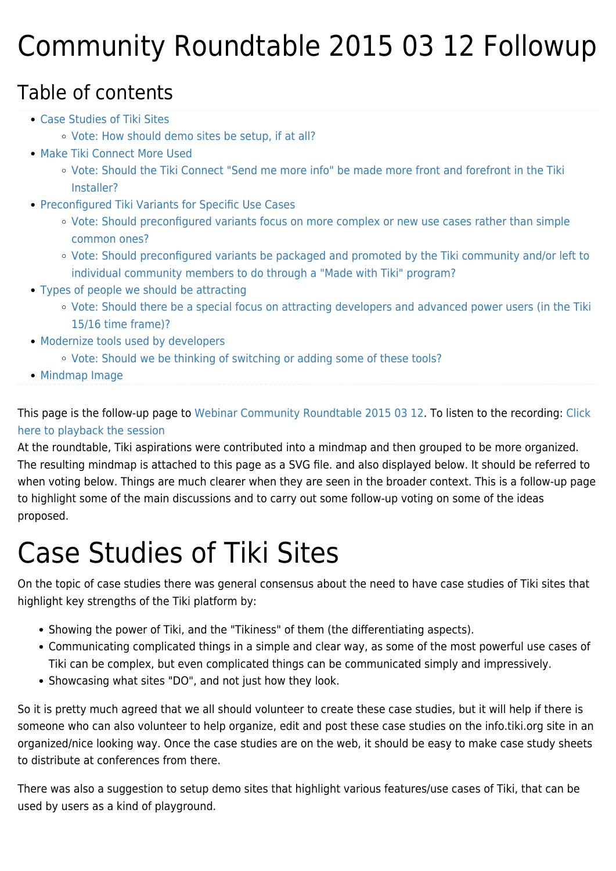## Community Roundtable 2015 03 12 Followup

#### Table of contents

- [Case Studies of Tiki Sites](#page--1-0)
	- [Vote: How should demo sites be setup, if at all?](#page--1-0)
- [Make Tiki Connect More Used](#page--1-0)
	- [Vote: Should the Tiki Connect "Send me more info" be made more front and forefront in the Tiki](#page--1-0) [Installer?](#page--1-0)
- [Preconfigured Tiki Variants for Specific Use Cases](#page--1-0)
	- [Vote: Should preconfigured variants focus on more complex or new use cases rather than simple](#page--1-0) [common ones?](#page--1-0)
	- [Vote: Should preconfigured variants be packaged and promoted by the Tiki community and/or left to](#page--1-0) [individual community members to do through a "Made with Tiki" program?](#page--1-0)
- [Types of people we should be attracting](#page--1-0)
	- [Vote: Should there be a special focus on attracting developers and advanced power users \(in the Tiki](#page--1-0) [15/16 time frame\)?](#page--1-0)
- [Modernize tools used by developers](#page--1-0)
	- [Vote: Should we be thinking of switching or adding some of these tools?](#page--1-0)
- [Mindmap Image](#page--1-0)

This page is the follow-up page to [Webinar Community Roundtable 2015 03 12.](https://tiki.org/Webinar-Community-Roundtable-2015-03-12) To listen to the recording: [Click](http://recordings.blindsidenetworks.com/citadelrock/d559965849921585c1849af03b7a51638700d979-1426183101204/presentation/) [here to playback the session](http://recordings.blindsidenetworks.com/citadelrock/d559965849921585c1849af03b7a51638700d979-1426183101204/presentation/)

At the roundtable, Tiki aspirations were contributed into a mindmap and then grouped to be more organized. The resulting mindmap is attached to this page as a SVG file. and also displayed below. It should be referred to when voting below. Things are much clearer when they are seen in the broader context. This is a follow-up page to highlight some of the main discussions and to carry out some follow-up voting on some of the ideas proposed.

## Case Studies of Tiki Sites

On the topic of case studies there was general consensus about the need to have case studies of Tiki sites that highlight key strengths of the Tiki platform by:

- Showing the power of Tiki, and the "Tikiness" of them (the differentiating aspects).
- Communicating complicated things in a simple and clear way, as some of the most powerful use cases of Tiki can be complex, but even complicated things can be communicated simply and impressively.
- Showcasing what sites "DO", and not just how they look.

So it is pretty much agreed that we all should volunteer to create these case studies, but it will help if there is someone who can also volunteer to help organize, edit and post these case studies on the info.tiki.org site in an organized/nice looking way. Once the case studies are on the web, it should be easy to make case study sheets to distribute at conferences from there.

There was also a suggestion to setup demo sites that highlight various features/use cases of Tiki, that can be used by users as a kind of playground.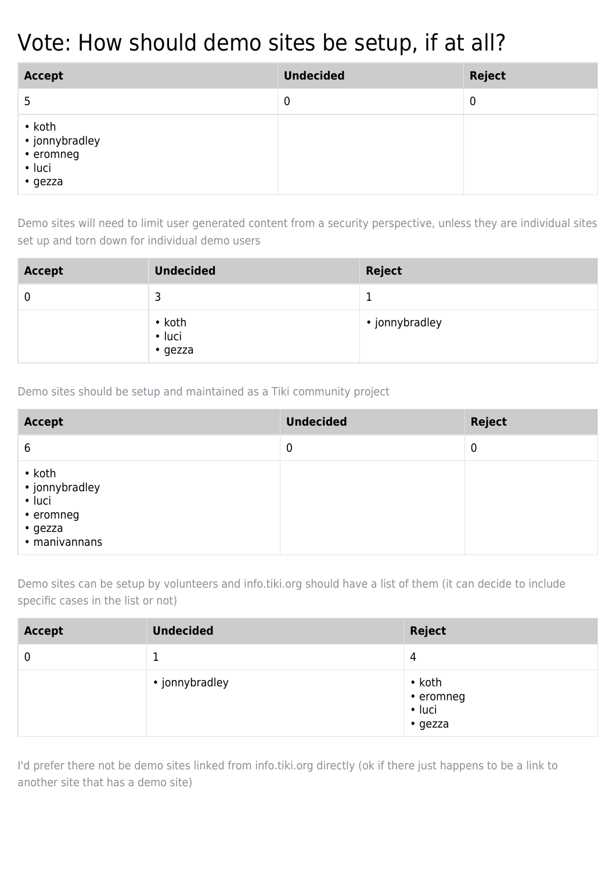### Vote: How should demo sites be setup, if at all?

| <b>Accept</b>                                                            | <b>Undecided</b> | <b>Reject</b> |
|--------------------------------------------------------------------------|------------------|---------------|
| 5                                                                        | $\mathbf 0$      | $\mathbf 0$   |
| $\bullet$ koth<br>• jonnybradley<br>• eromneg<br>• luci<br>$\cdot$ gezza |                  |               |

Demo sites will need to limit user generated content from a security perspective, unless they are individual sites set up and torn down for individual demo users

| <b>Accept</b> | <b>Undecided</b>                  | <b>Reject</b>  |
|---------------|-----------------------------------|----------------|
|               | 3                                 | ᅩ              |
|               | • koth<br>• luci<br>$\cdot$ gezza | • jonnybradley |

Demo sites should be setup and maintained as a Tiki community project

| <b>Accept</b>                                                                     | <b>Undecided</b> | <b>Reject</b> |
|-----------------------------------------------------------------------------------|------------------|---------------|
| 6                                                                                 | $\mathbf 0$      | 0             |
| • koth<br>• jonnybradley<br>• luci<br>• eromneg<br>$\cdot$ gezza<br>· manivannans |                  |               |

Demo sites can be setup by volunteers and info.tiki.org should have a list of them (it can decide to include specific cases in the list or not)

| <b>Accept</b> | <b>Undecided</b> | <b>Reject</b>                                              |
|---------------|------------------|------------------------------------------------------------|
| 0             |                  | 4                                                          |
|               | • jonnybradley   | $\cdot$ koth<br>• eromneg<br>$\cdot$ luci<br>$\cdot$ gezza |

I'd prefer there not be demo sites linked from info.tiki.org directly (ok if there just happens to be a link to another site that has a demo site)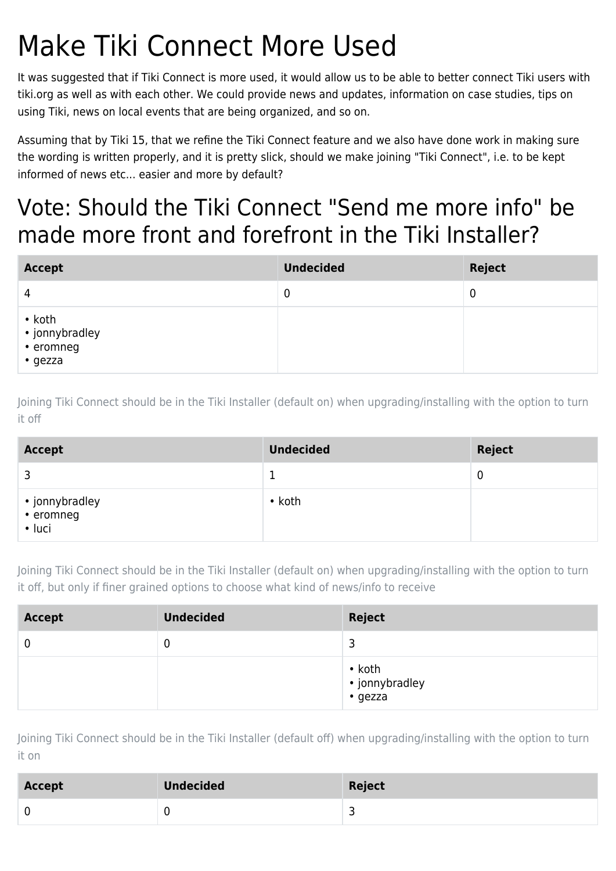## Make Tiki Connect More Used

It was suggested that if Tiki Connect is more used, it would allow us to be able to better connect Tiki users with tiki.org as well as with each other. We could provide news and updates, information on case studies, tips on using Tiki, news on local events that are being organized, and so on.

Assuming that by Tiki 15, that we refine the Tiki Connect feature and we also have done work in making sure the wording is written properly, and it is pretty slick, should we make joining "Tiki Connect", i.e. to be kept informed of news etc... easier and more by default?

### Vote: Should the Tiki Connect "Send me more info" be made more front and forefront in the Tiki Installer?

| <b>Accept</b>                                            | <b>Undecided</b> | <b>Reject</b> |
|----------------------------------------------------------|------------------|---------------|
| 4                                                        | 0                | 0             |
| $\bullet$ koth<br>• jonnybradley<br>• eromneg<br>• gezza |                  |               |

Joining Tiki Connect should be in the Tiki Installer (default on) when upgrading/installing with the option to turn it off

| <b>Accept</b>                         | <b>Undecided</b> | <b>Reject</b> |
|---------------------------------------|------------------|---------------|
| ⊇                                     |                  | 0             |
| • jonnybradley<br>• eromneg<br>• luci | $\cdot$ koth     |               |

Joining Tiki Connect should be in the Tiki Installer (default on) when upgrading/installing with the option to turn it off, but only if finer grained options to choose what kind of news/info to receive

| <b>Accept</b> | <b>Undecided</b> | <b>Reject</b>                               |
|---------------|------------------|---------------------------------------------|
| 0             | 0                | 3                                           |
|               |                  | $\bullet$ koth<br>• jonnybradley<br>• gezza |

Joining Tiki Connect should be in the Tiki Installer (default off) when upgrading/installing with the option to turn it on

| <b>Accept</b> | <b>Undecided</b> | Reject |
|---------------|------------------|--------|
|               |                  |        |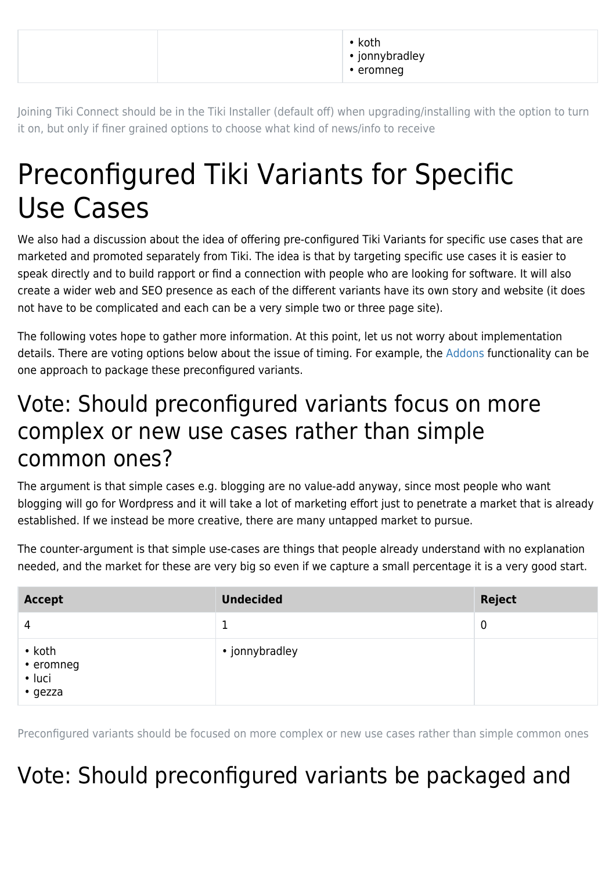|  | koth<br>• jonnybradley<br>• eromneg |  |
|--|-------------------------------------|--|
|--|-------------------------------------|--|

Joining Tiki Connect should be in the Tiki Installer (default off) when upgrading/installing with the option to turn it on, but only if finer grained options to choose what kind of news/info to receive

## Preconfigured Tiki Variants for Specific Use Cases

We also had a discussion about the idea of offering pre-configured Tiki Variants for specific use cases that are marketed and promoted separately from Tiki. The idea is that by targeting specific use cases it is easier to speak directly and to build rapport or find a connection with people who are looking for software. It will also create a wider web and SEO presence as each of the different variants have its own story and website (it does not have to be complicated and each can be a very simple two or three page site).

The following votes hope to gather more information. At this point, let us not worry about implementation details. There are voting options below about the issue of timing. For example, the [Addons](http://dev.tiki.org/Addons) functionality can be one approach to package these preconfigured variants.

#### Vote: Should preconfigured variants focus on more complex or new use cases rather than simple common ones?

The argument is that simple cases e.g. blogging are no value-add anyway, since most people who want blogging will go for Wordpress and it will take a lot of marketing effort just to penetrate a market that is already established. If we instead be more creative, there are many untapped market to pursue.

The counter-argument is that simple use-cases are things that people already understand with no explanation needed, and the market for these are very big so even if we capture a small percentage it is a very good start.

| <b>Accept</b>                                        | <b>Undecided</b> | <b>Reject</b> |
|------------------------------------------------------|------------------|---------------|
| 4                                                    |                  | $\mathbf 0$   |
| $\cdot$ koth<br>• eromneg<br>• luci<br>$\cdot$ gezza | • jonnybradley   |               |

Preconfigured variants should be focused on more complex or new use cases rather than simple common ones

### Vote: Should preconfigured variants be packaged and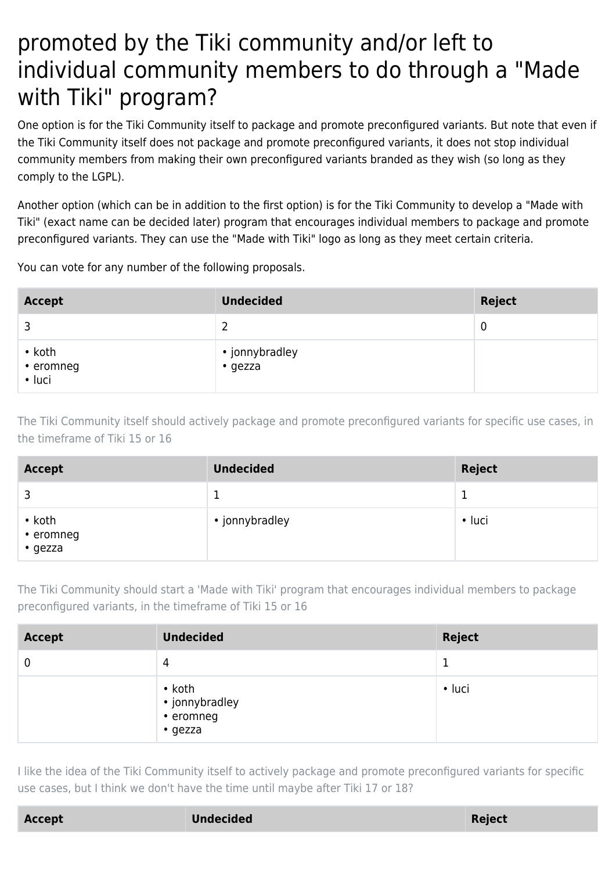### promoted by the Tiki community and/or left to individual community members to do through a "Made with Tiki" program?

One option is for the Tiki Community itself to package and promote preconfigured variants. But note that even if the Tiki Community itself does not package and promote preconfigured variants, it does not stop individual community members from making their own preconfigured variants branded as they wish (so long as they comply to the LGPL).

Another option (which can be in addition to the first option) is for the Tiki Community to develop a "Made with Tiki" (exact name can be decided later) program that encourages individual members to package and promote preconfigured variants. They can use the "Made with Tiki" logo as long as they meet certain criteria.

You can vote for any number of the following proposals.

| <b>Accept</b>                       | <b>Undecided</b>          | <b>Reject</b> |
|-------------------------------------|---------------------------|---------------|
|                                     | າ                         | 0             |
| $\cdot$ koth<br>• eromneg<br>• luci | • jonnybradley<br>• gezza |               |

The Tiki Community itself should actively package and promote preconfigured variants for specific use cases, in the timeframe of Tiki 15 or 16

| <b>Accept</b>                        | <b>Undecided</b> | <b>Reject</b> |
|--------------------------------------|------------------|---------------|
|                                      |                  |               |
| $\cdot$ koth<br>• eromneg<br>• gezza | • jonnybradley   | $\cdot$ luci  |

The Tiki Community should start a 'Made with Tiki' program that encourages individual members to package preconfigured variants, in the timeframe of Tiki 15 or 16

| <b>Accept</b> | <b>Undecided</b>                                       | <b>Reject</b> |
|---------------|--------------------------------------------------------|---------------|
| 0             | 4                                                      |               |
|               | $\cdot$ koth<br>• jonnybradley<br>• eromneg<br>• gezza | $\cdot$ luci  |

I like the idea of the Tiki Community itself to actively package and promote preconfigured variants for specific use cases, but I think we don't have the time until maybe after Tiki 17 or 18?

**Accept Undecided Reject**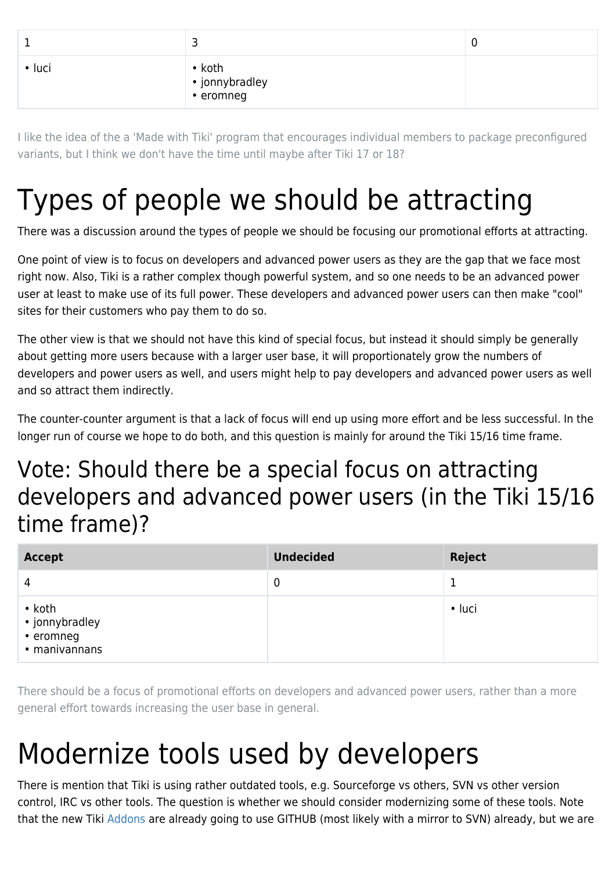| $\cdot$ luci | • koth<br>• jonnybradley<br>• eromneg |  |
|--------------|---------------------------------------|--|

I like the idea of the a 'Made with Tiki' program that encourages individual members to package preconfigured variants, but I think we don't have the time until maybe after Tiki 17 or 18?

## Types of people we should be attracting

There was a discussion around the types of people we should be focusing our promotional efforts at attracting.

One point of view is to focus on developers and advanced power users as they are the gap that we face most right now. Also, Tiki is a rather complex though powerful system, and so one needs to be an advanced power user at least to make use of its full power. These developers and advanced power users can then make "cool" sites for their customers who pay them to do so.

The other view is that we should not have this kind of special focus, but instead it should simply be generally about getting more users because with a larger user base, it will proportionately grow the numbers of developers and power users as well, and users might help to pay developers and advanced power users as well and so attract them indirectly.

The counter-counter argument is that a lack of focus will end up using more effort and be less successful. In the longer run of course we hope to do both, and this question is mainly for around the Tiki 15/16 time frame.

### Vote: Should there be a special focus on attracting developers and advanced power users (in the Tiki 15/16 time frame)?

| <b>Accept</b>                                                | <b>Undecided</b> | <b>Reject</b> |
|--------------------------------------------------------------|------------------|---------------|
| 4                                                            | 0                |               |
| $\cdot$ koth<br>• jonnybradley<br>• eromneg<br>• manivannans |                  | • luci        |

There should be a focus of promotional efforts on developers and advanced power users, rather than a more general effort towards increasing the user base in general.

# Modernize tools used by developers

There is mention that Tiki is using rather outdated tools, e.g. Sourceforge vs others, SVN vs other version control, IRC vs other tools. The question is whether we should consider modernizing some of these tools. Note that the new Tiki [Addons](http://dev.tiki.org/Addons) are already going to use GITHUB (most likely with a mirror to SVN) already, but we are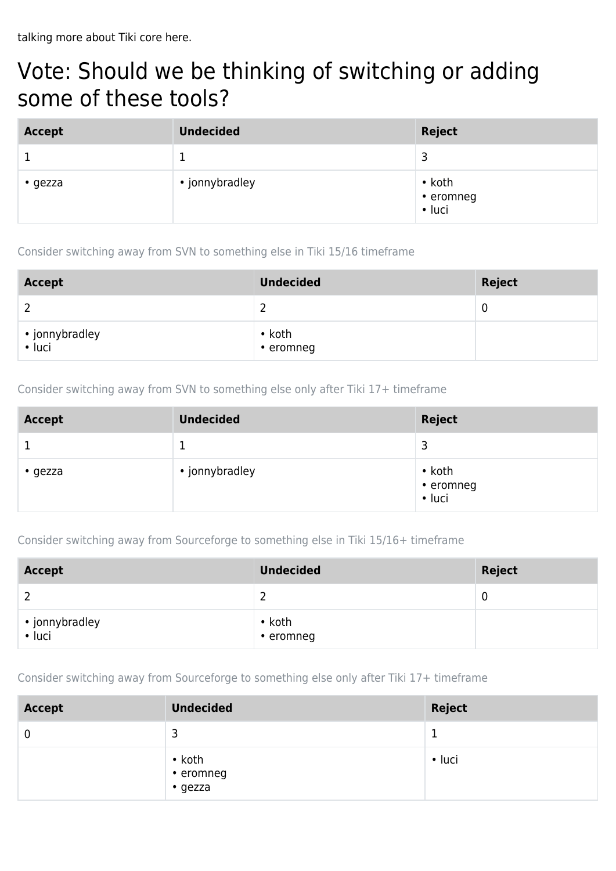### Vote: Should we be thinking of switching or adding some of these tools?

| <b>Accept</b>   | <b>Undecided</b> | Reject                              |
|-----------------|------------------|-------------------------------------|
|                 |                  | 3                                   |
| $\bullet$ gezza | • jonnybradley   | $\cdot$ koth<br>• eromneg<br>• luci |

Consider switching away from SVN to something else in Tiki 15/16 timeframe

| <b>Accept</b>            | <b>Undecided</b>          | Reject |
|--------------------------|---------------------------|--------|
|                          |                           | 0      |
| • jonnybradley<br>• luci | $\cdot$ koth<br>• eromneg |        |

Consider switching away from SVN to something else only after Tiki 17+ timeframe

| <b>Accept</b> | <b>Undecided</b> | <b>Reject</b>                       |
|---------------|------------------|-------------------------------------|
|               |                  | 3                                   |
| $\cdot$ gezza | • jonnybradley   | $\cdot$ koth<br>• eromneg<br>• luci |

Consider switching away from Sourceforge to something else in Tiki 15/16+ timeframe

| <b>Accept</b>            | <b>Undecided</b>                | <b>Reject</b> |
|--------------------------|---------------------------------|---------------|
|                          |                                 | -C            |
| • jonnybradley<br>• luci | $\cdot$ koth<br>$\cdot$ eromneg |               |

Consider switching away from Sourceforge to something else only after Tiki 17+ timeframe

| <b>Accept</b> | <b>Undecided</b>                           | Reject       |
|---------------|--------------------------------------------|--------------|
| 0             | 3                                          |              |
|               | $\cdot$ koth<br>• eromneg<br>$\cdot$ gezza | $\cdot$ luci |